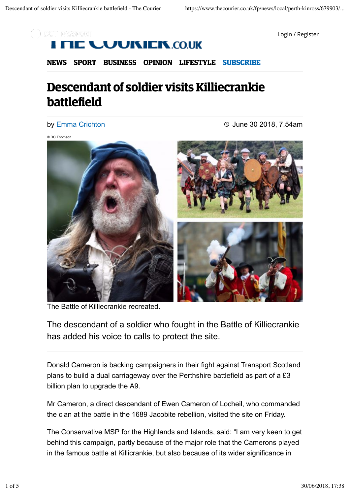

Login / Register

## **JUINIEIN.CO.UK**

**NEWS SPORT BUSINESS OPINION LIFESTYLE SUBSCRIBE**

# **Descendant of soldier visits Killiecrankie battlefield**

by Emma Crichton

June 30 2018, 7.54am

© DC Thomson



The Battle of Killiecrankie recreated.

The descendant of a soldier who fought in the Battle of Killiecrankie has added his voice to calls to protect the site.

Donald Cameron is backing campaigners in their fight against Transport Scotland plans to build a dual carriageway over the Perthshire battlefield as part of a £3 billion plan to upgrade the A9.

Mr Cameron, a direct descendant of Ewen Cameron of Locheil, who commanded the clan at the battle in the 1689 Jacobite rebellion, visited the site on Friday.

The Conservative MSP for the Highlands and Islands, said: "I am very keen to get behind this campaign, partly because of the major role that the Camerons played in the famous battle at Killicrankie, but also because of its wider significance in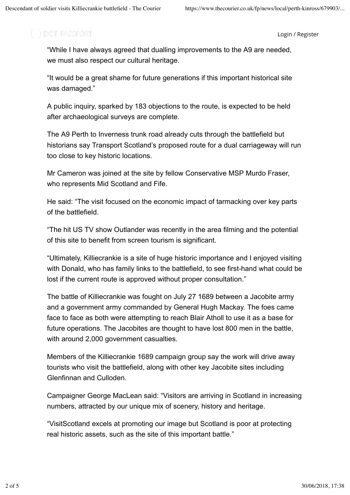#### the the pass for the Jacobite

Login / Register

"While I have always agreed that dualling improvements to the A9 are needed, we must also respect our cultural heritage.

"It would be a great shame for future generations if this important historical site was damaged."

A public inquiry, sparked by 183 objections to the route, is expected to be held after archaeological surveys are complete.

The A9 Perth to Inverness trunk road already cuts through the battlefield but historians say Transport Scotland's proposed route for a dual carriageway will run too close to key historic locations.

Mr Cameron was joined at the site by fellow Conservative MSP Murdo Fraser, who represents Mid Scotland and Fife.

He said: "The visit focused on the economic impact of tarmacking over key parts of the battlefield.

"The hit US TV show Outlander was recently in the area filming and the potential of this site to benefit from screen tourism is significant.

"Ultimately, Killiecrankie is a site of huge historic importance and I enjoyed visiting with Donald, who has family links to the battlefield, to see first-hand what could be lost if the current route is approved without proper consultation."

The battle of Killiecrankie was fought on July 27 1689 between a Jacobite army and a government army commanded by General Hugh Mackay. The foes came face to face as both were attempting to reach Blair Atholl to use it as a base for future operations. The Jacobites are thought to have lost 800 men in the battle, with around 2,000 government casualties.

Members of the Killiecrankie 1689 campaign group say the work will drive away tourists who visit the battlefield, along with other key Jacobite sites including Glenfinnan and Culloden.

Campaigner George MacLean said: "Visitors are arriving in Scotland in increasing numbers, attracted by our unique mix of scenery, history and heritage.

"VisitScotland excels at promoting our image but Scotland is poor at protecting real historic assets, such as the site of this important battle."